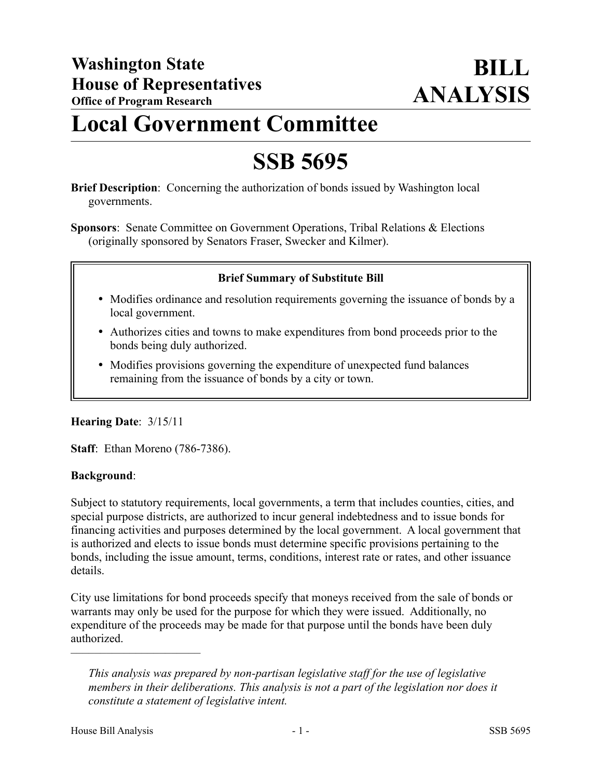# **Local Government Committee**

# **SSB 5695**

**Brief Description**: Concerning the authorization of bonds issued by Washington local governments.

**Sponsors**: Senate Committee on Government Operations, Tribal Relations & Elections (originally sponsored by Senators Fraser, Swecker and Kilmer).

### **Brief Summary of Substitute Bill**

- Modifies ordinance and resolution requirements governing the issuance of bonds by a local government.
- Authorizes cities and towns to make expenditures from bond proceeds prior to the bonds being duly authorized.
- Modifies provisions governing the expenditure of unexpected fund balances remaining from the issuance of bonds by a city or town.

#### **Hearing Date**: 3/15/11

**Staff**: Ethan Moreno (786-7386).

#### **Background**:

Subject to statutory requirements, local governments, a term that includes counties, cities, and special purpose districts, are authorized to incur general indebtedness and to issue bonds for financing activities and purposes determined by the local government. A local government that is authorized and elects to issue bonds must determine specific provisions pertaining to the bonds, including the issue amount, terms, conditions, interest rate or rates, and other issuance details.

City use limitations for bond proceeds specify that moneys received from the sale of bonds or warrants may only be used for the purpose for which they were issued. Additionally, no expenditure of the proceeds may be made for that purpose until the bonds have been duly authorized.

––––––––––––––––––––––

*This analysis was prepared by non-partisan legislative staff for the use of legislative members in their deliberations. This analysis is not a part of the legislation nor does it constitute a statement of legislative intent.*